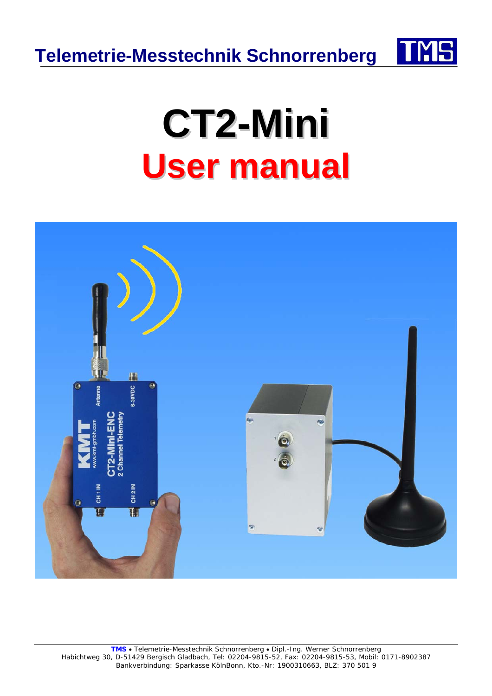



## **CT2-Mini User manual**

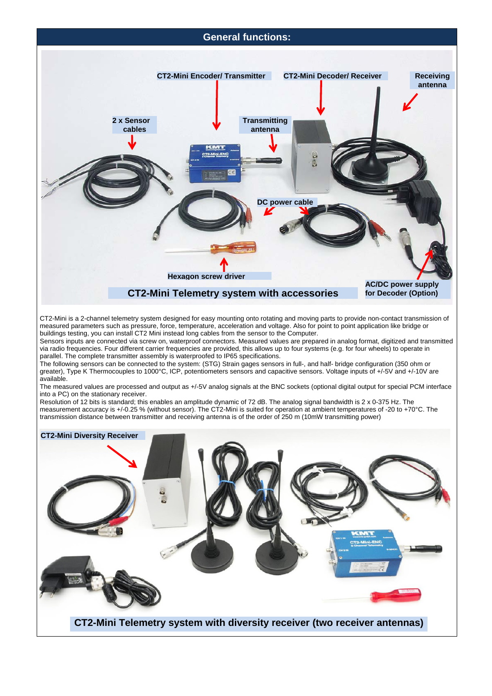

CT2-Mini is a 2-channel telemetry system designed for easy mounting onto rotating and moving parts to provide non-contact transmission of measured parameters such as pressure, force, temperature, acceleration and voltage. Also for point to point application like bridge or buildings testing, you can install CT2 Mini instead long cables from the sensor to the Computer.

Sensors inputs are connected via screw on, waterproof connectors. Measured values are prepared in analog format, digitized and transmitted via radio frequencies. Four different carrier frequencies are provided, this allows up to four systems (e.g. for four wheels) to operate in parallel. The complete transmitter assembly is waterproofed to IP65 specifications.

The following sensors can be connected to the system: (STG) Strain gages sensors in full-, and half- bridge configuration (350 ohm or greater), Type K Thermocouples to 1000°C, ICP, potentiometers sensors and capacitive sensors. Voltage inputs of +/-5V and +/-10V are available.

The measured values are processed and output as +/-5V analog signals at the BNC sockets (optional digital output for special PCM interface into a PC) on the stationary receiver.

Resolution of 12 bits is standard; this enables an amplitude dynamic of 72 dB. The analog signal bandwidth is 2 x 0-375 Hz. The measurement accuracy is +/-0.25 % (without sensor). The CT2-Mini is suited for operation at ambient temperatures of -20 to +70°C. The transmission distance between transmitter and receiving antenna is of the order of 250 m (10mW transmitting power)

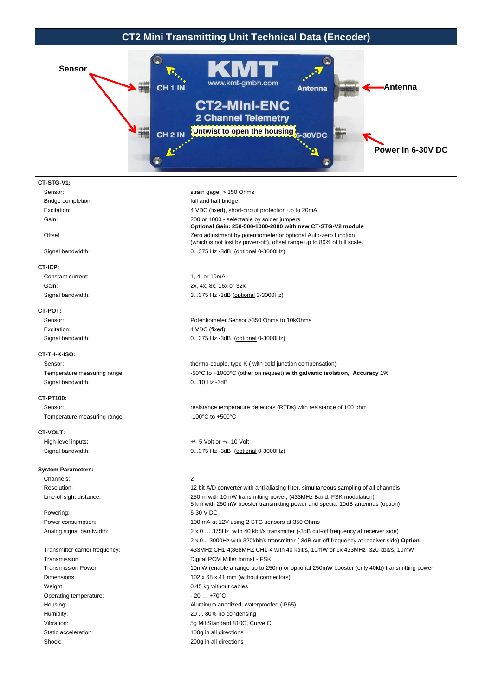

 Housing: Aluminum anodized, waterproofed (IP65) Humidity: 20 ... 80% no condensing

Vibration: 5g Mil Standard 810C, Curve C

- 
- Static acceleration: 100g in all directions Shock: 200g in all directions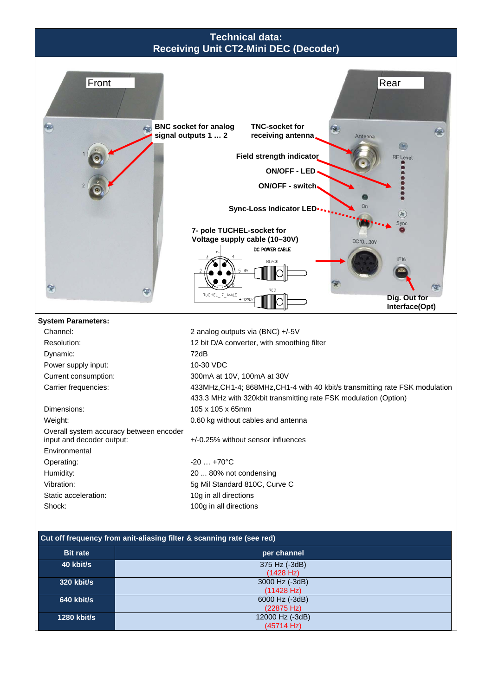## **Technical data: Receiving Unit CT2-Mini DEC (Decoder)**



(22875 Hz)

(45714 Hz)

**1280 kbit/s** 12000 Hz (-3dB)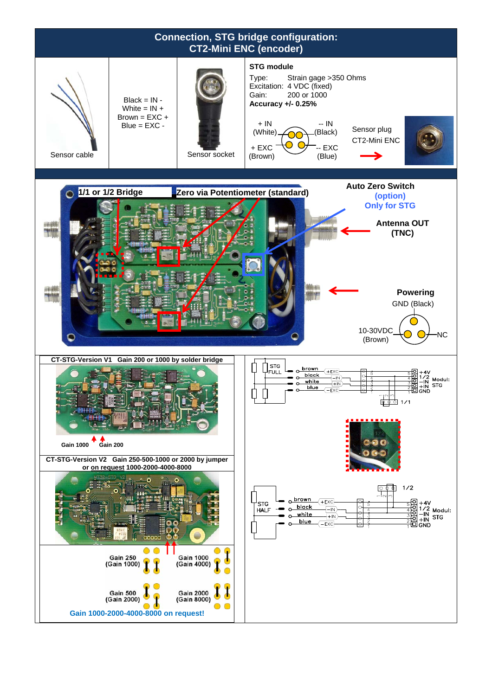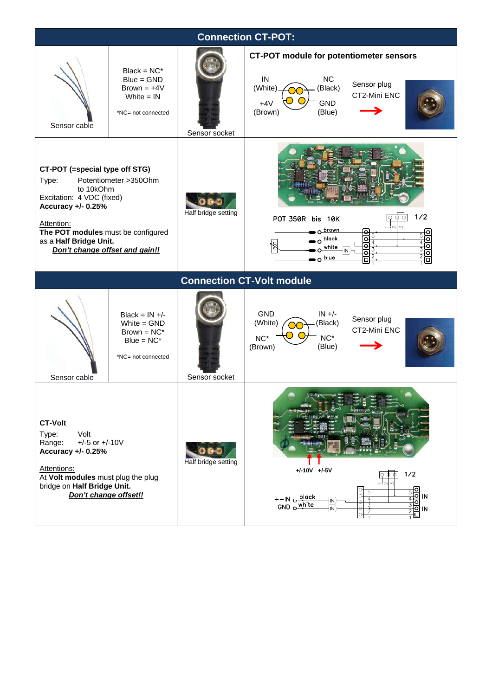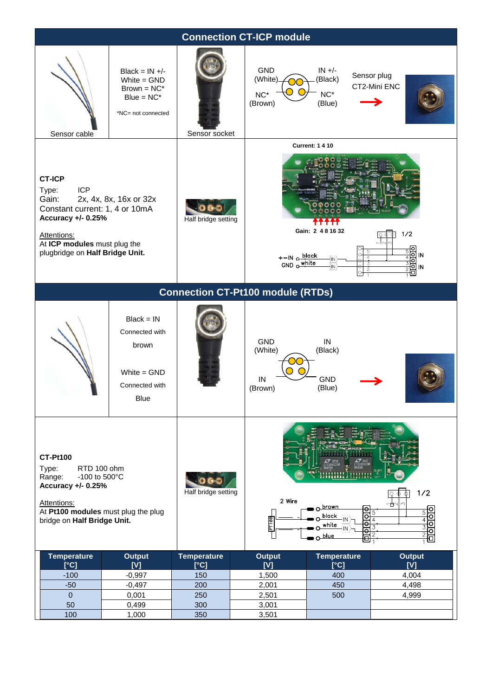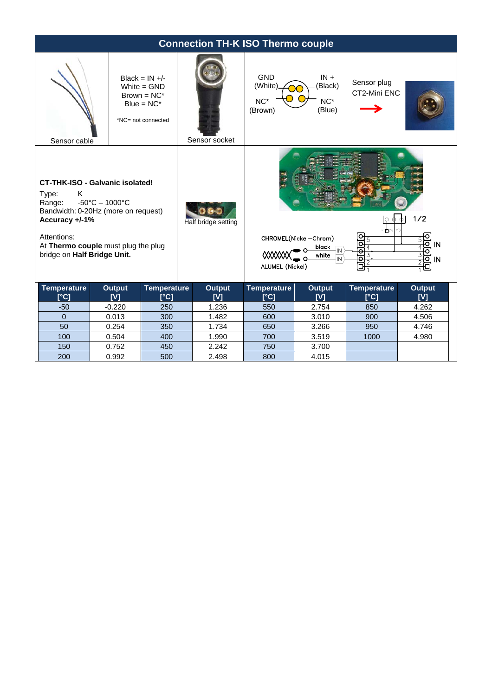| <b>Connection TH-K ISO Thermo couple</b>                                                                                                                                                                                                            |                      |                                                                                            |                                                                                                                                                     |                                           |                                      |                                             |                      |
|-----------------------------------------------------------------------------------------------------------------------------------------------------------------------------------------------------------------------------------------------------|----------------------|--------------------------------------------------------------------------------------------|-----------------------------------------------------------------------------------------------------------------------------------------------------|-------------------------------------------|--------------------------------------|---------------------------------------------|----------------------|
| Sensor cable                                                                                                                                                                                                                                        |                      | Black = $IN +/-$<br>White $=$ GND<br>$Brown = NC^*$<br>$Blue = NC^*$<br>*NC= not connected | Sensor socket                                                                                                                                       | <b>GND</b><br>(White)<br>$NC*$<br>(Brown) | $IN +$<br>(Black)<br>$NC*$<br>(Blue) | Sensor plug<br>CT2-Mini ENC                 |                      |
| <b>CT-THK-ISO - Galvanic isolated!</b><br>Type:<br>Κ<br>$-50^{\circ}$ C - 1000 $^{\circ}$ C<br>Range:<br>Bandwidth: 0-20Hz (more on request)<br>Accuracy +/-1%<br>Attentions:<br>At Thermo couple must plug the plug<br>bridge on Half Bridge Unit. |                      |                                                                                            | Half bridge setting<br>ᆊ에<br>Ю<br>CHROMEL(Nickel-Chrom)<br>$\dot{\Theta}$<br>black<br>ਰ<br>⋘<br>white<br>$\overline{\circ}$<br>ALUMEL (Nickel)<br>□ |                                           |                                      | 1/2<br>ਠ<br><b>IN</b><br>o<br>তা<br>IN<br>o |                      |
| <b>Temperature</b><br>[°C]                                                                                                                                                                                                                          | <b>Output</b><br>[V] | <b>Temperature</b><br>[°C]                                                                 | <b>Output</b><br>[V]                                                                                                                                | <b>Temperature</b><br>[°C]                | <b>Output</b><br>[V]                 | <b>Temperature</b><br>[°C]                  | <b>Output</b><br>[V] |
| $-50$                                                                                                                                                                                                                                               | $-0.220$             | 250                                                                                        | 1.236                                                                                                                                               | 550                                       | 2.754                                | 850                                         | 4.262                |
| $\Omega$                                                                                                                                                                                                                                            | 0.013                | 300                                                                                        | 1.482                                                                                                                                               | 600                                       | 3.010                                | 900                                         | 4.506                |
| 50                                                                                                                                                                                                                                                  | 0.254                | 350                                                                                        | 1.734                                                                                                                                               | 650                                       | 3.266                                | 950                                         | 4.746                |
| 100                                                                                                                                                                                                                                                 | 0.504                | 400                                                                                        | 1.990                                                                                                                                               | 700                                       | 3.519                                | 1000                                        | 4.980                |
| 150                                                                                                                                                                                                                                                 | 0.752                | 450                                                                                        | 2.242                                                                                                                                               | 750                                       | 3.700                                |                                             |                      |
| 200                                                                                                                                                                                                                                                 | 0.992                | 500                                                                                        | 2.498                                                                                                                                               | 800                                       | 4.015                                |                                             |                      |